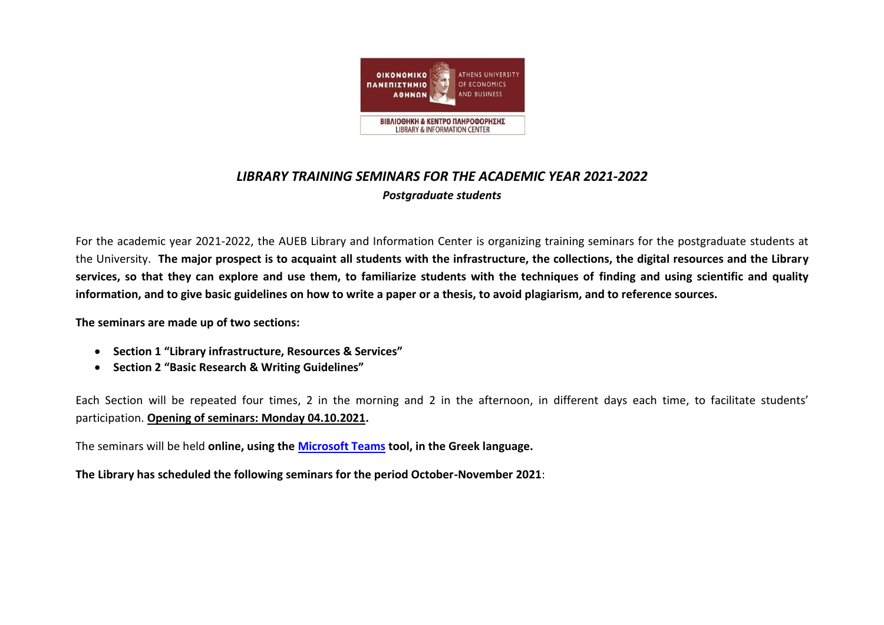

## *LIBRARY TRAINING SEMINARS FOR THE ACADEMIC YEAR 2021-2022 Postgraduate students*

For the academic year 2021-2022, the AUEB Library and Information Center is organizing training seminars for the postgraduate students at the University. **The major prospect is to acquaint all students with the infrastructure, the collections, the digital resources and the Library services, so that they can explore and use them, to familiarize students with the techniques of finding and using scientific and quality information, and to give basic guidelines on how to write a paper or a thesis, to avoid plagiarism, and to reference sources.**

**The seminars are made up of two sections:**

- **Section 1 "Library infrastructure, Resources & Services"**
- **Section 2 "Basic Research & Writing Guidelines"**

Each Section will be repeated four times, 2 in the morning and 2 in the afternoon, in different days each time, to facilitate students' participation. **Opening of seminars: Monday 04.10.2021.**

The seminars will be held **online, using the [Microsoft Teams](https://www.aueb.gr/el/microsoft-teams) tool, in the Greek language.**

**The Library has scheduled the following seminars for the period October-November 2021**: